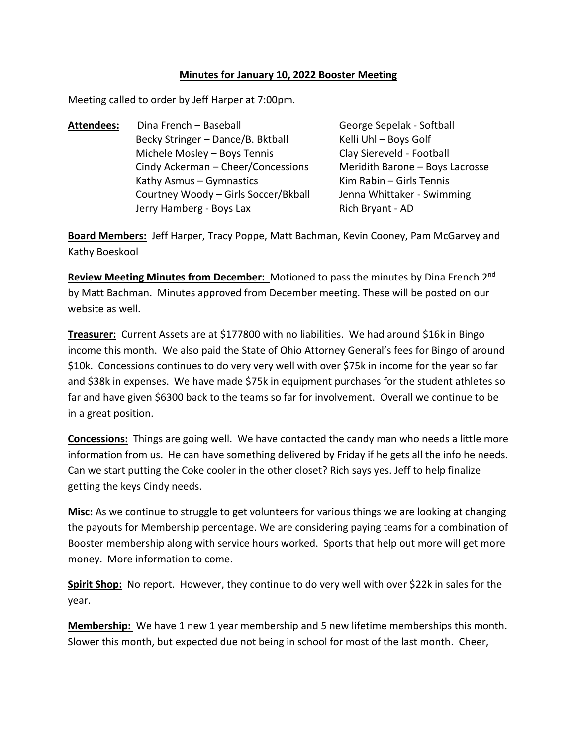## **Minutes for January 10, 2022 Booster Meeting**

Meeting called to order by Jeff Harper at 7:00pm.

Attendees: Dina French – Baseball George Sepelak - Softball Becky Stringer – Dance/B. Bktball Kelli Uhl – Boys Golf Michele Mosley – Boys Tennis Clay Siereveld - Football Cindy Ackerman – Cheer/Concessions Meridith Barone – Boys Lacrosse Kathy Asmus – Gymnastics  $\frac{1}{100}$  Kim Rabin – Girls Tennis Courtney Woody – Girls Soccer/Bkball Jenna Whittaker - Swimming Jerry Hamberg - Boys Lax Rich Bryant - AD

**Board Members:** Jeff Harper, Tracy Poppe, Matt Bachman, Kevin Cooney, Pam McGarvey and Kathy Boeskool

Review Meeting Minutes from December: Motioned to pass the minutes by Dina French 2<sup>nd</sup> by Matt Bachman. Minutes approved from December meeting. These will be posted on our website as well.

**Treasurer:** Current Assets are at \$177800 with no liabilities. We had around \$16k in Bingo income this month. We also paid the State of Ohio Attorney General's fees for Bingo of around \$10k. Concessions continues to do very very well with over \$75k in income for the year so far and \$38k in expenses. We have made \$75k in equipment purchases for the student athletes so far and have given \$6300 back to the teams so far for involvement. Overall we continue to be in a great position.

**Concessions:** Things are going well. We have contacted the candy man who needs a little more information from us. He can have something delivered by Friday if he gets all the info he needs. Can we start putting the Coke cooler in the other closet? Rich says yes. Jeff to help finalize getting the keys Cindy needs.

**Misc:** As we continue to struggle to get volunteers for various things we are looking at changing the payouts for Membership percentage. We are considering paying teams for a combination of Booster membership along with service hours worked. Sports that help out more will get more money. More information to come.

**Spirit Shop:** No report. However, they continue to do very well with over \$22k in sales for the year.

**Membership:** We have 1 new 1 year membership and 5 new lifetime memberships this month. Slower this month, but expected due not being in school for most of the last month. Cheer,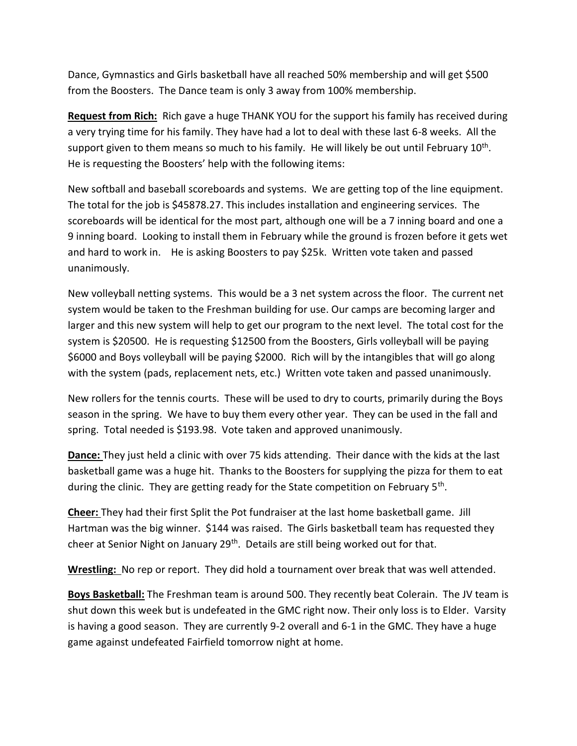Dance, Gymnastics and Girls basketball have all reached 50% membership and will get \$500 from the Boosters. The Dance team is only 3 away from 100% membership.

**Request from Rich:** Rich gave a huge THANK YOU for the support his family has received during a very trying time for his family. They have had a lot to deal with these last 6-8 weeks. All the support given to them means so much to his family. He will likely be out until February  $10^{\text{th}}$ . He is requesting the Boosters' help with the following items:

New softball and baseball scoreboards and systems. We are getting top of the line equipment. The total for the job is \$45878.27. This includes installation and engineering services. The scoreboards will be identical for the most part, although one will be a 7 inning board and one a 9 inning board. Looking to install them in February while the ground is frozen before it gets wet and hard to work in. He is asking Boosters to pay \$25k. Written vote taken and passed unanimously.

New volleyball netting systems. This would be a 3 net system across the floor. The current net system would be taken to the Freshman building for use. Our camps are becoming larger and larger and this new system will help to get our program to the next level. The total cost for the system is \$20500. He is requesting \$12500 from the Boosters, Girls volleyball will be paying \$6000 and Boys volleyball will be paying \$2000. Rich will by the intangibles that will go along with the system (pads, replacement nets, etc.) Written vote taken and passed unanimously.

New rollers for the tennis courts. These will be used to dry to courts, primarily during the Boys season in the spring. We have to buy them every other year. They can be used in the fall and spring. Total needed is \$193.98. Vote taken and approved unanimously.

**Dance:** They just held a clinic with over 75 kids attending. Their dance with the kids at the last basketball game was a huge hit. Thanks to the Boosters for supplying the pizza for them to eat during the clinic. They are getting ready for the State competition on February 5<sup>th</sup>.

**Cheer:** They had their first Split the Pot fundraiser at the last home basketball game. Jill Hartman was the big winner. \$144 was raised. The Girls basketball team has requested they cheer at Senior Night on January 29<sup>th</sup>. Details are still being worked out for that.

**Wrestling:** No rep or report. They did hold a tournament over break that was well attended.

**Boys Basketball:** The Freshman team is around 500. They recently beat Colerain. The JV team is shut down this week but is undefeated in the GMC right now. Their only loss is to Elder. Varsity is having a good season. They are currently 9-2 overall and 6-1 in the GMC. They have a huge game against undefeated Fairfield tomorrow night at home.